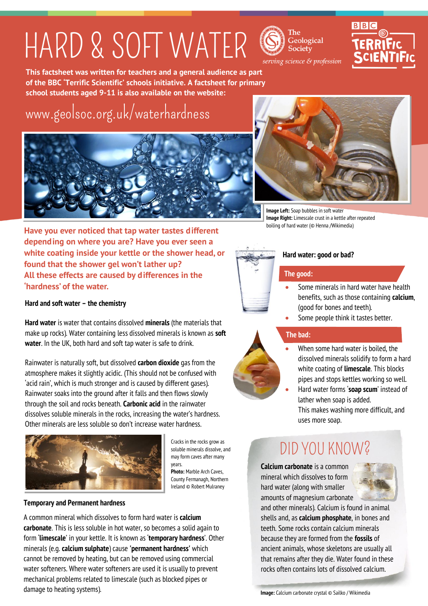## HARD & SOFT WATER





serving science & profession

**This factsheet was written for teachers and a general audience as part of the BBC 'Terrific Scientific' schools initiative. A factsheet for primary school students aged 9-11 is also available on the website:**

## [www.geolsoc.org.uk/waterhardness](http://www.geolsoc.org.uk/waterhardness)





**Image Left:** Soap bubbles in soft water **Image Right:** Limescale crust in a kettle after repeated boiling of hard water (© Henna /Wikimedia)

**Have you ever noticed that tap water tastes different depending on where you are? Have you ever seen a white coating inside your kettle or the shower head, or found that the shower gel won't lather up? All these effects are caused by differences in the 'hardness' of the water.**

### **Hard and soft water – the chemistry**

**Hard water** is water that contains dissolved **minerals** (the materials that make up rocks). Water containing less dissolved minerals is known as **soft water**. In the UK, both hard and soft tap water is safe to drink.

Rainwater is naturally soft, but dissolved **carbon dioxide** gas from the atmosphere makes it slightly acidic. (This should not be confused with 'acid rain', which is much stronger and is caused by different gases). Rainwater soaks into the ground after it falls and then flows slowly through the soil and rocks beneath. **Carbonic acid** in the rainwater dissolves soluble minerals in the rocks, increasing the water's hardness. Other minerals are less soluble so don't increase water hardness.



Cracks in the rocks grow as soluble minerals dissolve, and may form caves after many years.

**Photo:** Marble Arch Caves, County Fermanagh, Northern Ireland © Robert Mulraney

#### **Temporary and Permanent hardness**

A common mineral which dissolves to form hard water is **calcium carbonate**. This is less soluble in hot water, so becomes a solid again to form '**limescale**' in your kettle. It is known as '**temporary hardness**'. Other minerals (e.g. **calcium sulphate**) cause **'permanent hardness'** which cannot be removed by heating, but can be removed using commercial water softeners. Where water softeners are used it is usually to prevent mechanical problems related to limescale (such as blocked pipes or damage to heating systems).



### **Hard water: good or bad?**

### **The good:**

- Some minerals in hard water have health benefits, such as those containing **calcium**, (good for bones and teeth).
- Some people think it tastes better.

### **The bad:**

- When some hard water is boiled, the dissolved minerals solidify to form a hard white coating of **limescale**. This blocks pipes and stops kettles working so well.
- Hard water forms '**soap scum**' instead of lather when soap is added. This makes washing more difficult, and uses more soap.

## DID YOU KNOW?

**Calcium carbonate** is a common mineral which dissolves to form hard water (along with smaller amounts of magnesium carbonate



and other minerals). Calcium is found in animal shells and, as **calcium phosphate**, in bones and teeth. Some rocks contain calcium minerals because they are formed from the **fossils** of ancient animals, whose skeletons are usually all that remains after they die. Water found in these rocks often contains lots of dissolved calcium.